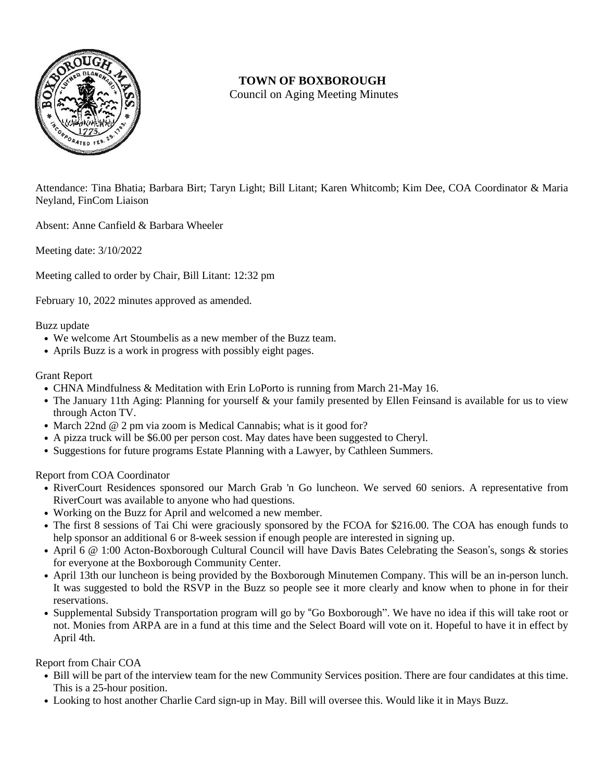

## **TOWN OF BOXBOROUGH**

Council on Aging Meeting Minutes

Attendance: Tina Bhatia; Barbara Birt; Taryn Light; Bill Litant; Karen Whitcomb; Kim Dee, COA Coordinator & Maria Neyland, FinCom Liaison

Absent: Anne Canfield & Barbara Wheeler

Meeting date: 3/10/2022

Meeting called to order by Chair, Bill Litant: 12:32 pm

February 10, 2022 minutes approved as amended.

## Buzz update

- **•** We welcome Art Stoumbelis as a new member of the Buzz team.
- **•** Aprils Buzz is a work in progress with possibly eight pages.

## Grant Report

- **•** CHNA Mindfulness & Meditation with Erin LoPorto is running from March 21-May 16.
- The January 11th Aging: Planning for yourself & your family presented by Ellen Feinsand is available for us to view through Acton TV.
- March 22nd @ 2 pm via zoom is Medical Cannabis; what is it good for?
- **•** A pizza truck will be \$6.00 per person cost. May dates have been suggested to Cheryl.
- **•** Suggestions for future programs Estate Planning with a Lawyer, by Cathleen Summers.

Report from COA Coordinator

- **•** RiverCourt Residences sponsored our March Grab 'n Go luncheon. We served 60 seniors. A representative from RiverCourt was available to anyone who had questions.
- **•** Working on the Buzz for April and welcomed a new member.
- **•** The first 8 sessions of Tai Chi were graciously sponsored by the FCOA for \$216.00. The COA has enough funds to help sponsor an additional 6 or 8-week session if enough people are interested in signing up.
- **•** April 6 @ 1:00 Acton-Boxborough Cultural Council will have Davis Bates Celebrating the Season's, songs & stories for everyone at the Boxborough Community Center.
- **•** April 13th our luncheon is being provided by the Boxborough Minutemen Company. This will be an in-person lunch. It was suggested to bold the RSVP in the Buzz so people see it more clearly and know when to phone in for their reservations.
- **•** Supplemental Subsidy Transportation program will go by "Go Boxborough". We have no idea if this will take root or not. Monies from ARPA are in a fund at this time and the Select Board will vote on it. Hopeful to have it in effect by April 4th.

## Report from Chair COA

- **•** Bill will be part of the interview team for the new Community Services position. There are four candidates at this time. This is a 25-hour position.
- **•** Looking to host another Charlie Card sign-up in May. Bill will oversee this. Would like it in Mays Buzz.